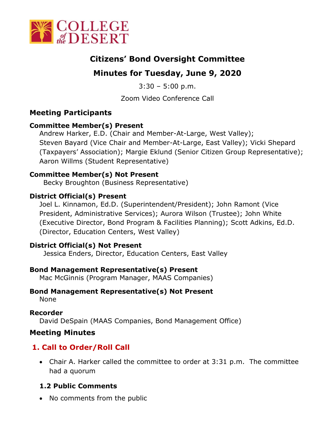

# **Citizens' Bond Oversight Committee**

# **Minutes for Tuesday, June 9, 2020**

 $3:30 - 5:00$  p.m.

Zoom Video Conference Call

## **Meeting Participants**

## **Committee Member(s) Present**

Andrew Harker, E.D. (Chair and Member-At-Large, West Valley); Steven Bayard (Vice Chair and Member-At-Large, East Valley); Vicki Shepard (Taxpayers' Association); Margie Eklund (Senior Citizen Group Representative); Aaron Willms (Student Representative)

### **Committee Member(s) Not Present**

Becky Broughton (Business Representative)

## **District Official(s) Present**

Joel L. Kinnamon, Ed.D. (Superintendent/President); John Ramont (Vice President, Administrative Services); Aurora Wilson (Trustee); John White (Executive Director, Bond Program & Facilities Planning); Scott Adkins, Ed.D. (Director, Education Centers, West Valley)

### **District Official(s) Not Present**

Jessica Enders, Director, Education Centers, East Valley

### **Bond Management Representative(s) Present**

Mac McGinnis (Program Manager, MAAS Companies)

# **Bond Management Representative(s) Not Present**

None

**Recorder** David DeSpain (MAAS Companies, Bond Management Office)

## **Meeting Minutes**

# **1. Call to Order/Roll Call**

• Chair A. Harker called the committee to order at 3:31 p.m. The committee had a quorum

## **1.2 Public Comments**

• No comments from the public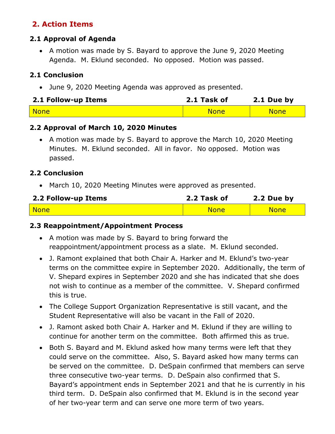## **2. Action Items**

### **2.1 Approval of Agenda**

• A motion was made by S. Bayard to approve the June 9, 2020 Meeting Agenda. M. Eklund seconded. No opposed. Motion was passed.

## **2.1 Conclusion**

• June 9, 2020 Meeting Agenda was approved as presented.

| 2.1 Follow-up Items | 2.1 Task of | 2.1 Due by  |
|---------------------|-------------|-------------|
| None                | <b>None</b> | <b>None</b> |

### **2.2 Approval of March 10, 2020 Minutes**

• A motion was made by S. Bayard to approve the March 10, 2020 Meeting Minutes. M. Eklund seconded. All in favor. No opposed. Motion was passed.

### **2.2 Conclusion**

• March 10, 2020 Meeting Minutes were approved as presented.

| 2.2 Follow-up Items | 2.2 Task of | 2.2 Due by  |
|---------------------|-------------|-------------|
| <b>None</b>         | <b>None</b> | <b>None</b> |

#### **2.3 Reappointment/Appointment Process**

- A motion was made by S. Bayard to bring forward the reappointment/appointment process as a slate. M. Eklund seconded.
- J. Ramont explained that both Chair A. Harker and M. Eklund's two-year terms on the committee expire in September 2020. Additionally, the term of V. Shepard expires in September 2020 and she has indicated that she does not wish to continue as a member of the committee. V. Shepard confirmed this is true.
- The College Support Organization Representative is still vacant, and the Student Representative will also be vacant in the Fall of 2020.
- J. Ramont asked both Chair A. Harker and M. Eklund if they are willing to continue for another term on the committee. Both affirmed this as true.
- Both S. Bayard and M. Eklund asked how many terms were left that they could serve on the committee. Also, S. Bayard asked how many terms can be served on the committee. D. DeSpain confirmed that members can serve three consecutive two-year terms. D. DeSpain also confirmed that S. Bayard's appointment ends in September 2021 and that he is currently in his third term. D. DeSpain also confirmed that M. Eklund is in the second year of her two-year term and can serve one more term of two years.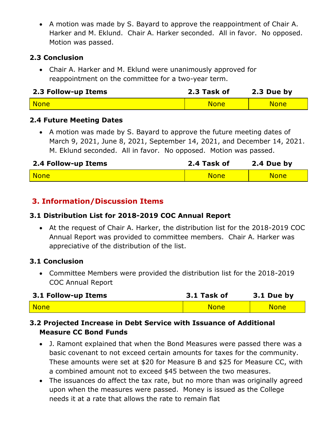• A motion was made by S. Bayard to approve the reappointment of Chair A. Harker and M. Eklund. Chair A. Harker seconded. All in favor. No opposed. Motion was passed.

## **2.3 Conclusion**

• Chair A. Harker and M. Eklund were unanimously approved for reappointment on the committee for a two-year term.

| 2.3 Follow-up Items | 2.3 Task of | 2.3 Due by  |
|---------------------|-------------|-------------|
| <mark>None</mark>   | <b>None</b> | <b>None</b> |

## **2.4 Future Meeting Dates**

• A motion was made by S. Bayard to approve the future meeting dates of March 9, 2021, June 8, 2021, September 14, 2021, and December 14, 2021. M. Eklund seconded. All in favor. No opposed. Motion was passed.

| 2.4 Follow-up Items | 2.4 Task of | 2.4 Due by  |
|---------------------|-------------|-------------|
| None                | <b>None</b> | <b>None</b> |

# **3. Information/Discussion Items**

## **3.1 Distribution List for 2018-2019 COC Annual Report**

• At the request of Chair A. Harker, the distribution list for the 2018-2019 COC Annual Report was provided to committee members. Chair A. Harker was appreciative of the distribution of the list.

### **3.1 Conclusion**

• Committee Members were provided the distribution list for the 2018-2019 COC Annual Report

| 3.1 Follow-up Items  | 3.1 Task of | 3.1 Due by  |
|----------------------|-------------|-------------|
| <mark>l Nonel</mark> | <b>None</b> | <b>None</b> |

## **3.2 Projected Increase in Debt Service with Issuance of Additional Measure CC Bond Funds**

- J. Ramont explained that when the Bond Measures were passed there was a basic covenant to not exceed certain amounts for taxes for the community. These amounts were set at \$20 for Measure B and \$25 for Measure CC, with a combined amount not to exceed \$45 between the two measures.
- The issuances do affect the tax rate, but no more than was originally agreed upon when the measures were passed. Money is issued as the College needs it at a rate that allows the rate to remain flat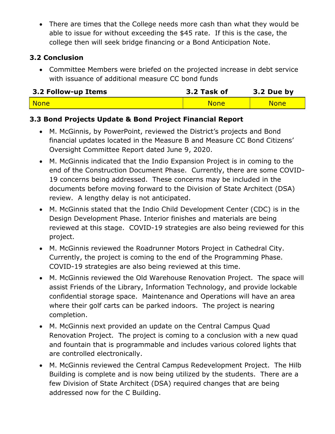• There are times that the College needs more cash than what they would be able to issue for without exceeding the \$45 rate. If this is the case, the college then will seek bridge financing or a Bond Anticipation Note.

## **3.2 Conclusion**

• Committee Members were briefed on the projected increase in debt service with issuance of additional measure CC bond funds

| 3.2 Follow-up Items | 3.2 Task of | 3.2 Due by  |
|---------------------|-------------|-------------|
| - None              | <b>None</b> | <b>None</b> |

## **3.3 Bond Projects Update & Bond Project Financial Report**

- M. McGinnis, by PowerPoint, reviewed the District's projects and Bond financial updates located in the Measure B and Measure CC Bond Citizens' Oversight Committee Report dated June 9, 2020.
- M. McGinnis indicated that the Indio Expansion Project is in coming to the end of the Construction Document Phase. Currently, there are some COVID-19 concerns being addressed. These concerns may be included in the documents before moving forward to the Division of State Architect (DSA) review. A lengthy delay is not anticipated.
- M. McGinnis stated that the Indio Child Development Center (CDC) is in the Design Development Phase. Interior finishes and materials are being reviewed at this stage. COVID-19 strategies are also being reviewed for this project.
- M. McGinnis reviewed the Roadrunner Motors Project in Cathedral City. Currently, the project is coming to the end of the Programming Phase. COVID-19 strategies are also being reviewed at this time.
- M. McGinnis reviewed the Old Warehouse Renovation Project. The space will assist Friends of the Library, Information Technology, and provide lockable confidential storage space. Maintenance and Operations will have an area where their golf carts can be parked indoors. The project is nearing completion.
- M. McGinnis next provided an update on the Central Campus Quad Renovation Project. The project is coming to a conclusion with a new quad and fountain that is programmable and includes various colored lights that are controlled electronically.
- M. McGinnis reviewed the Central Campus Redevelopment Project. The Hilb Building is complete and is now being utilized by the students. There are a few Division of State Architect (DSA) required changes that are being addressed now for the C Building.